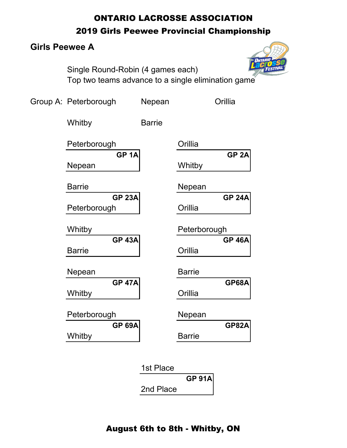# ONTARIO LACROSSE ASSOCIATION

### 2019 Girls Peewee Provincial Championship

# **Girls Peewee A**



Single Round-Robin (4 games each) Top two teams advance to a single elimination game

| Group A: Peterborough          | Nepean        |               | Orillia          |
|--------------------------------|---------------|---------------|------------------|
| Whitby                         | <b>Barrie</b> |               |                  |
| Peterborough                   |               | Orillia       |                  |
| GP <sub>1A</sub><br>Nepean     |               | Whitby        | GP <sub>2A</sub> |
| <b>Barrie</b>                  |               | Nepean        |                  |
| <b>GP 23A</b><br>Peterborough  |               | Orillia       | <b>GP 24A</b>    |
| Whitby                         |               | Peterborough  |                  |
| <b>GP 43A</b><br><b>Barrie</b> |               | Orillia       | <b>GP 46A</b>    |
| Nepean                         |               | <b>Barrie</b> |                  |
| <b>GP 47A</b><br>Whitby        |               | Orillia       | <b>GP68A</b>     |
| Peterborough                   |               | Nepean        |                  |
| <b>GP 69A</b><br>Whitby        |               | <b>Barrie</b> | <b>GP82A</b>     |
|                                |               |               |                  |

| 1st Place |               |
|-----------|---------------|
|           | <b>GP 91A</b> |
| 2nd Place |               |

# August 6th to 8th - Whitby, ON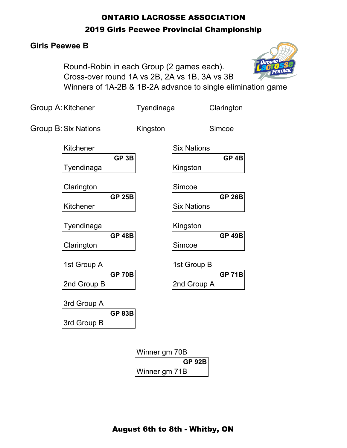# ONTARIO LACROSSE ASSOCIATION 2019 Girls Peewee Provincial Championship

### **Girls Peewee B**

Round-Robin in each Group (2 games each). Cross-over round 1A vs 2B, 2A vs 1B, 3A vs 3B Winners of 1A-2B & 1B-2A advance to single elimination game

| Group A: Kitchener          |                  | Tyendinaga                     |                    | Clarington       |
|-----------------------------|------------------|--------------------------------|--------------------|------------------|
| <b>Group B: Six Nations</b> |                  | Kingston                       |                    | Simcoe           |
| Kitchener                   |                  |                                | <b>Six Nations</b> |                  |
| Tyendinaga                  | GP <sub>3B</sub> |                                | Kingston           | GP <sub>4B</sub> |
| Clarington                  |                  |                                | Simcoe             |                  |
| Kitchener                   | <b>GP 25B</b>    |                                | <b>Six Nations</b> | <b>GP 26B</b>    |
| Tyendinaga                  |                  |                                | Kingston           |                  |
| Clarington                  | <b>GP 48B</b>    |                                | Simcoe             | <b>GP 49B</b>    |
| 1st Group A                 |                  |                                | 1st Group B        |                  |
| 2nd Group B                 | <b>GP 70B</b>    |                                | 2nd Group A        | <b>GP 71B</b>    |
| 3rd Group A                 |                  |                                |                    |                  |
| 3rd Group B                 | <b>GP 83B</b>    |                                |                    |                  |
|                             |                  | Winner gm 70B<br>Winner gm 71B | <b>GP 92B</b>      |                  |



August 6th to 8th - Whitby, ON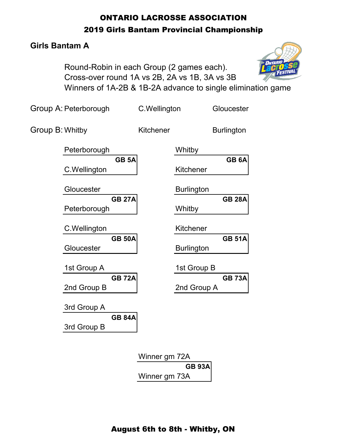# ONTARIO LACROSSE ASSOCIATION 2019 Girls Bantam Provincial Championship

### **Girls Bantam A**

Round-Robin in each Group (2 games each). Cross-over round 1A vs 2B, 2A vs 1B, 3A vs 3B Winners of 1A-2B & 1B-2A advance to single elimination game

Group A: Peterborough C.Wellington Gloucester Group B: Whitby **Kitchener** Burlington Peterborough Whitby **GB 5A GB 6A** C.Wellington | Kitchener Gloucester **Burlington GB 27A GB 28A** Peterborough | Whitby C.Wellington Kitchener **GB 50A GB 51A** Gloucester **Burlington** 1st Group A 1st Group B **GB 72A GB 73A** 2nd Group B 2nd Group A 3rd Group A **GB 84A** 3rd Group B Winner gm 72A **GB 93A** Winner gm 73A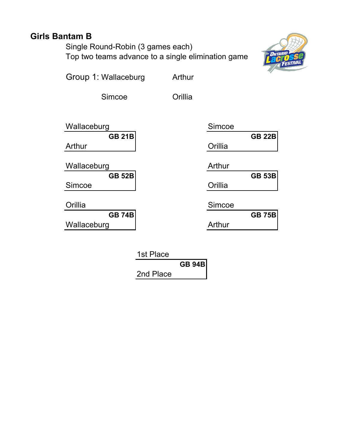# **Girls Bantam B**

Single Round-Robin (3 games each) Top two teams advance to a single elimination game



Group 1: Wallaceburg Arthur

Simcoe Orillia

| Wallaceburg   | Simcoe  |
|---------------|---------|
| <b>GB 21B</b> |         |
| Arthur        | Orillia |
|               |         |

Wallaceburg

**GB 52B GB 53B** Simcoe

Orillia

**GB 74B GB 75B** Wallaceburg | Arthur

|               | Simcoe        |
|---------------|---------------|
| <b>GB 21B</b> | <b>GB 22B</b> |
|               | Orillia       |
|               |               |
|               | Arthur        |
| <b>GB 52B</b> | <b>GB 53B</b> |
|               | Orillia       |
|               |               |
|               | Simcoe        |
| <b>GB 74B</b> | <b>GB 75B</b> |
|               | Arthur        |

| 1st Place |               |  |
|-----------|---------------|--|
|           | <b>GB 94B</b> |  |
| 2nd Place |               |  |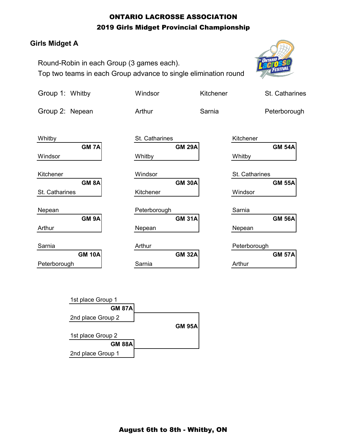#### ONTARIO LACROSSE ASSOCIATION 2019 Girls Midget Provincial Championship

#### **Girls Midget A**

Round-Robin in each Group (3 games each). Top two teams in each Group advance to single elimination round



| Group 1: Whitby   | Windsor        | Kitchener | St. Catharines |
|-------------------|----------------|-----------|----------------|
| Group 2: Nepean   | Arthur         | Sarnia    | Peterborough   |
| Whitby            | St. Catharines |           | Kitchener      |
| <b>GM 7A</b>      | <b>GM 29A</b>  |           | <b>GM 54A</b>  |
| Windsor           | Whitby         |           | Whitby         |
| Kitchener         | Windsor        |           | St. Catharines |
| GM <sub>8</sub> A | <b>GM 30A</b>  |           | <b>GM 55A</b>  |
| St. Catharines    | Kitchener      |           | Windsor        |
| Nepean            | Peterborough   |           | Sarnia         |
| GM <sub>9A</sub>  | <b>GM 31A</b>  |           | <b>GM 56A</b>  |
| Arthur            | Nepean         |           | Nepean         |
| Sarnia            | Arthur         |           | Peterborough   |
| <b>GM 10A</b>     | <b>GM 32A</b>  |           | <b>GM 57A</b>  |
| Peterborough      | Sarnia         |           | Arthur         |

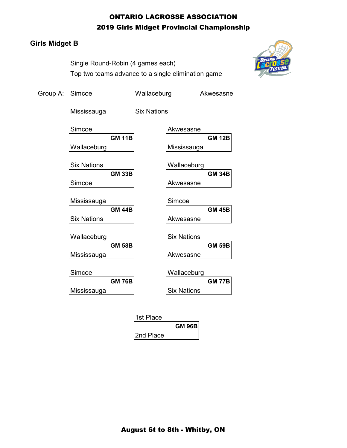#### ONTARIO LACROSSE ASSOCIATION 2019 Girls Midget Provincial Championship

#### **Girls Midget B**

Single Round-Robin (4 games each) Top two teams advance to a single elimination game



| Group A: Simcoe |                    |               | Wallaceburg        |                    | Akwesasne     |
|-----------------|--------------------|---------------|--------------------|--------------------|---------------|
|                 | Mississauga        |               | <b>Six Nations</b> |                    |               |
|                 | Simcoe             | <b>GM 11B</b> |                    | Akwesasne          | <b>GM 12B</b> |
|                 | Wallaceburg        |               |                    | Mississauga        |               |
|                 | <b>Six Nations</b> | <b>GM 33B</b> |                    | Wallaceburg        | <b>GM 34B</b> |
|                 | Simcoe             |               |                    | Akwesasne          |               |
|                 | Mississauga        |               |                    | Simcoe             |               |
|                 | <b>Six Nations</b> | <b>GM 44B</b> |                    | Akwesasne          | <b>GM 45B</b> |
|                 | Wallaceburg        |               |                    | <b>Six Nations</b> |               |
|                 | Mississauga        | <b>GM 58B</b> |                    | Akwesasne          | <b>GM 59B</b> |
|                 | Simcoe             |               |                    | Wallaceburg        |               |
|                 | Mississauga        | <b>GM 76B</b> |                    | <b>Six Nations</b> | <b>GM 77B</b> |
|                 |                    |               |                    |                    |               |

| 1st Place |               |
|-----------|---------------|
|           | <b>GM 96B</b> |
| 2nd Place |               |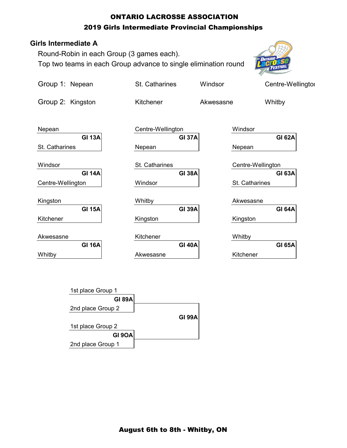### ONTARIO LACROSSE ASSOCIATION 2019 Girls Intermediate Provincial Championships

#### **Girls Intermediate A**

Round-Robin in each Group (3 games each). Top two teams in each Group advance to single elimination round



| Group 1: Nepean                           | St. Catharines                               | Windsor           | Centre-Wellingtor                  |
|-------------------------------------------|----------------------------------------------|-------------------|------------------------------------|
| Group 2: Kingston                         | Kitchener                                    | Akwesasne         | Whitby                             |
| Nepean<br><b>GI 13A</b><br>St. Catharines | Centre-Wellington<br><b>GI 37A</b><br>Nepean | Windsor<br>Nepean | <b>GI 62A</b>                      |
| Windsor<br><b>GI 14A</b>                  | St. Catharines<br><b>GI 38A</b>              |                   | Centre-Wellington<br><b>GI 63A</b> |
| Centre-Wellington                         | Windsor                                      |                   | St. Catharines                     |
| Kingston<br><b>GI 15A</b>                 | Whitby<br><b>GI 39A</b>                      | Akwesasne         | <b>GI 64A</b>                      |
| Kitchener                                 | Kingston                                     | Kingston          |                                    |
| Akwesasne                                 | Kitchener                                    | Whitby            |                                    |
| <b>GI 16A</b><br>Whitby                   | <b>GI 40A</b><br>Akwesasne                   | Kitchener         | <b>GI 65A</b>                      |

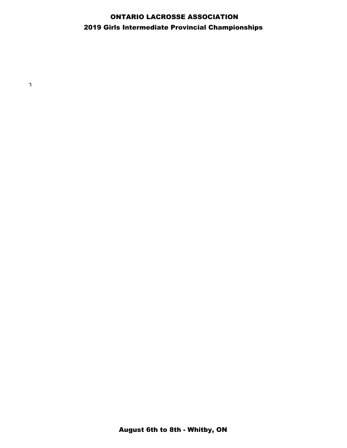### ONTARIO LACROSSE ASSOCIATION 2019 Girls Intermediate Provincial Championships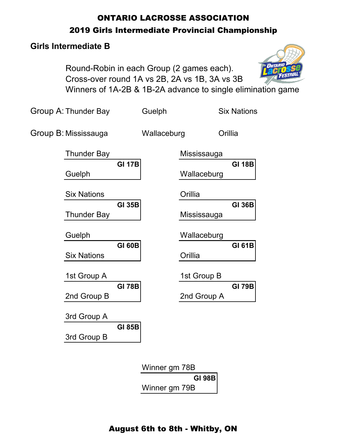# ONTARIO LACROSSE ASSOCIATION 2019 Girls Intermediate Provincial Championship

### **Girls Intermediate B**

Round-Robin in each Group (2 games each). Cross-over round 1A vs 2B, 2A vs 1B, 3A vs 3B Winners of 1A-2B & 1B-2A advance to single elimination game

Group A: Thunder Bay Guelph Six Nations

Group B: Mississauga Wallaceburg Orillia

| <b>Thunder Bay</b> |               |              | Mississauga |               |
|--------------------|---------------|--------------|-------------|---------------|
| Guelph             | <b>GI 17B</b> |              | Wallaceburg | <b>GI 18B</b> |
| <b>Six Nations</b> |               |              | Orillia     |               |
| <b>Thunder Bay</b> | <b>GI 35B</b> |              | Mississauga | <b>GI 36B</b> |
| Guelph             |               |              | Wallaceburg |               |
| <b>Six Nations</b> | <b>GI 60B</b> |              | Orillia     | <b>GI 61B</b> |
| 1st Group A        |               |              | 1st Group B |               |
| 2nd Group B        | <b>GI 78B</b> |              | 2nd Group A | <b>GI 79B</b> |
| 3rd Group A        |               |              |             |               |
| 3rd Group B        | <b>GI 85B</b> |              |             |               |
|                    |               | <b>A</b> $P$ | 70 D        |               |

Winner gm 78B **GI 98B** Winner gm 79B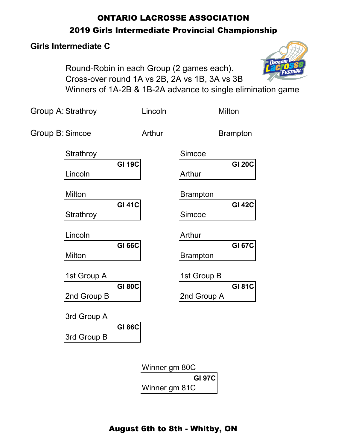# ONTARIO LACROSSE ASSOCIATION 2019 Girls Intermediate Provincial Championship

# **Girls Intermediate C**

Round-Robin in each Group (2 games each). Cross-over round 1A vs 2B, 2A vs 1B, 3A vs 3B Winners of 1A-2B & 1B-2A advance to single elimination game

Group A: Strathroy **Lincoln Milton** Group B: Simcoe **Arthur** Brampton Strathroy Simcoe **GI 19C GI 20C** Lincoln and a Arthur Milton Brampton **GI 41C GI 42C** Strathroy **Simcoe** Lincoln **Arthur GI 66C GI 67C** Milton **Nilton Brampton** 1st Group A 1st Group B **GI 80C GI 81C** 2nd Group B 2nd Group A 3rd Group A **GI 86C** 3rd Group B

> Winner gm 80C **GI 97C** Winner gm 81C

# August 6th to 8th - Whitby, ON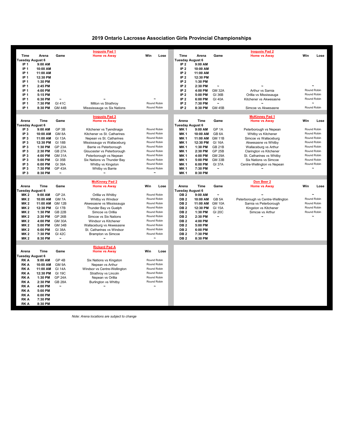#### **2019 Ontario Lacrosse Association Girls Provincial Championships**

|                                    |                      |                                        | <b>Iroquois Pad 1</b>                             |                                     |                                    |                      |                                    | <b>Iroquois Pad 2</b>                                       |     |                                      |
|------------------------------------|----------------------|----------------------------------------|---------------------------------------------------|-------------------------------------|------------------------------------|----------------------|------------------------------------|-------------------------------------------------------------|-----|--------------------------------------|
| Time                               | Arena                | Game                                   | <b>Home vs Away</b>                               | Win<br>Lose                         | Time                               | Arena                | Game                               | <b>Home vs Away</b>                                         | Win | Lose                                 |
| Tuesday August 6                   |                      |                                        |                                                   |                                     | <b>Tuesday August 6</b>            |                      |                                    |                                                             |     |                                      |
| IP <sub>1</sub>                    | 9:00 AM              |                                        |                                                   |                                     | IP <sub>2</sub>                    | 9:00 AM              |                                    |                                                             |     |                                      |
| IP <sub>1</sub>                    | 10:00 AM             |                                        |                                                   |                                     | IP $2$                             | 10:00 AM             |                                    |                                                             |     |                                      |
| IP <sub>1</sub>                    | 11:00 AM             |                                        |                                                   |                                     | IP <sub>2</sub>                    | 11:00 AM             |                                    |                                                             |     |                                      |
| IP <sub>1</sub>                    | 12:30 PM             |                                        |                                                   |                                     | IP $2$                             | 12:30 PM             |                                    |                                                             |     |                                      |
| IP <sub>1</sub><br>IP <sub>1</sub> | 1:30 PM<br>2:45 PM   |                                        |                                                   |                                     | IP <sub>2</sub><br>IP <sub>2</sub> | 1:30 PM<br>2:30 PM   | $\tilde{\phantom{a}}$              |                                                             |     |                                      |
| IP <sub>1</sub>                    | 4:00 PM              |                                        |                                                   |                                     | IP <sub>2</sub>                    | 4:00 PM              | <b>GM 32A</b>                      | Arthur vs Sarnia                                            |     | Round Robin                          |
| IP <sub>1</sub>                    | 5:15 PM              |                                        |                                                   |                                     | IP <sub>2</sub>                    | 5:00 PM              | <b>GI 36B</b>                      | Orillia vs Mississauga                                      |     | Round Robin                          |
| IP <sub>1</sub>                    | 6:30 PM              | $\ddot{\phantom{1}}$                   |                                                   |                                     | IP $2$                             | 6:00 PM              | <b>GI 40A</b>                      | Kitchener vs Akwesasne                                      |     | Round Robin                          |
| IP <sub>1</sub>                    | 7:30 PM              | GI 41C                                 | Milton vs Strathroy                               | Round Robin                         | IP <sub>2</sub>                    | 7:30 PM              | $\ddot{\phantom{1}}$               |                                                             |     | $\tilde{\phantom{a}}$                |
| IP <sub>1</sub>                    | 8:30 PM              | <b>GM 44B</b>                          | Misssissauga vs Six Nations                       | Round Robin                         | IP $2$                             | 8:30 PM              | <b>GM 45B</b>                      | Simcoe vs Akwesasne                                         |     | Round Robin                          |
|                                    |                      |                                        |                                                   |                                     |                                    |                      |                                    |                                                             |     |                                      |
| Arena                              | Time                 | Game                                   | <b>Iroquois Pad 3</b><br><b>Home vs Away</b>      |                                     | Arena                              | Time                 | Game                               | <b>McKinney Pad 1</b><br><b>Home vs Awav</b>                | Win | Lose                                 |
| Tuesday August 6                   |                      |                                        |                                                   |                                     | <b>Tuesday August 6</b>            |                      |                                    |                                                             |     |                                      |
| IP <sub>3</sub>                    | 9:00 AM              | GP 3B                                  | Kitchener vs Tyendinaga                           | Round Robin                         | <b>MK1</b>                         | 9:00 AM              | GP <sub>1A</sub>                   | Peterborough vs Nepean                                      |     | Round Robin                          |
| IP <sub>3</sub>                    | 10:00 AM             | GM <sub>8A</sub>                       | Kitchener vs St. Catharines                       | Round Robin                         | MK <sub>1</sub>                    | 10:00 AM             | GB <sub>6</sub> A                  | Whitby vs Kitchener                                         |     | Round Robin                          |
| IP <sub>3</sub>                    | 11:00 AM             | <b>GI 13A</b>                          | Nepean vs St. Catharines                          | Round Robin                         | MK <sub>1</sub>                    | 11:00 AM             | <b>GM 11B</b>                      | Simcoe vs Wallaceburg                                       |     | Round Robin                          |
| IP <sub>3</sub>                    | 12:30 PM             | <b>GI 18B</b>                          | Mississauga vs Wallaceburg                        | Round Robin                         | MK <sub>1</sub>                    | 12:30 PM             | <b>GI 16A</b>                      | Akwesasne vs Whitby                                         |     | Round Robin                          |
| IP <sub>3</sub>                    | 1:30 PM              | <b>GP 23A</b>                          | Barrie vs Peterborough                            | Round Robin                         | <b>MK1</b>                         | 1:30 PM              | <b>GB 21B</b>                      | Wallaceburg vs Arthur                                       |     | Round Robin                          |
| IP <sub>3</sub>                    | 2:30 PM              | <b>GB 27A</b>                          | Gloucester vs Peterborough                        | Round Robin                         | <b>MK1</b>                         | 2:30 PM              | GP <sub>25B</sub>                  | Clarington vs Kitchener                                     |     | Round Robin                          |
| IP <sub>3</sub>                    | 4:00 PM              | <b>GM 31A</b>                          | Peterborough vs Nepean                            | Round Robin                         | <b>MK1</b>                         | 4:00 PM              | <b>GM 29A</b>                      | St. Catharines vs Whitby                                    |     | Round Robin                          |
| IP <sub>3</sub>                    | 5:00 PM              | GI 35B                                 | Six Nations vs Thunder Bay                        | Round Robin                         | <b>MK1</b>                         | 5:00 PM              | <b>GM 33B</b>                      | Six Nations vs Simcoe                                       |     | Round Robin                          |
| IP <sub>3</sub>                    | 6:00 PM              | <b>GI 39A</b>                          | Whitby vs Kingston                                | Round Robin                         | <b>MK1</b>                         | 6:00 PM              | <b>GI 37A</b>                      | Centre-Wellington vs Nepean                                 |     | Round Robin<br>$\tilde{\phantom{a}}$ |
| IP <sub>3</sub><br>IP <sub>3</sub> | 7:30 PM<br>8:30 PM   | <b>GP 43A</b><br>$\tilde{\phantom{a}}$ | Whitby vs Barrie<br>$\ddot{\phantom{0}}$          | Round Robin<br>$\ddot{\phantom{1}}$ | <b>MK1</b><br><b>MK1</b>           | 7:30 PM<br>8:30 PM   |                                    |                                                             |     |                                      |
|                                    |                      |                                        |                                                   |                                     |                                    |                      |                                    |                                                             |     |                                      |
|                                    |                      |                                        | <b>McKinney Pad 2</b>                             |                                     |                                    |                      |                                    | Don Beer 2                                                  |     |                                      |
| Arena                              | Time                 | Game                                   | <b>Home vs Away</b>                               | Win<br>Lose                         | Arena                              | Time                 | Game                               | <b>Home vs Away</b>                                         | Win | Lose                                 |
| Tuesday August 6                   |                      |                                        |                                                   |                                     | <b>Tuesday August 6</b>            |                      |                                    |                                                             |     |                                      |
| <b>MK2</b>                         | 9:00 AM              | GP <sub>2A</sub>                       | Orillia vs Whitby                                 | Round Robin<br>Round Robin          | DB <sub>2</sub>                    | 9:00 AM              | $\tilde{\phantom{a}}$              |                                                             |     | Round Robin                          |
| <b>MK2</b><br><b>MK2</b>           | 10:00 AM<br>11:00 AM | GM <sub>7A</sub><br><b>GM 12B</b>      | Whitby vs Windsor                                 | Round Robin                         | DB <sub>2</sub><br>DB <sub>2</sub> | 10:00 AM<br>11:00 AM | GB <sub>5</sub> A<br><b>GM 10A</b> | Peterborough vs Centre-Wellington<br>Sarnia vs Peterborough |     | Round Robin                          |
| <b>MK2</b>                         | 12:30 PM             | <b>GI 17B</b>                          | Akwesasne vs Mississauga<br>Thunder Bay vs Guelph | Round Robin                         | DB <sub>2</sub>                    | 12:30 PM             | <b>GI 15A</b>                      | Kingston vs Kitchener                                       |     | Round Robin                          |
| <b>MK2</b>                         | 1:30 PM              | <b>GB 22B</b>                          | Simcoe vs Orillia                                 | Round Robin                         | DB <sub>2</sub>                    | 1:30 PM              | <b>GI 20C</b>                      | Simcoe vs Arthur                                            |     | Round Robin                          |
| <b>MK2</b>                         | 2:30 PM              | GP 26B                                 | Simcoe vs Six Nations                             | Round Robin                         |                                    |                      |                                    |                                                             |     |                                      |
| <b>MK2</b>                         | 4:00 PM              |                                        |                                                   |                                     |                                    |                      |                                    | $\ddot{ }$                                                  |     |                                      |
|                                    |                      |                                        |                                                   | Round Robin                         | DB <sub>2</sub>                    | 2:30 PM              | $\tilde{\phantom{a}}$              |                                                             |     |                                      |
| <b>MK2</b>                         | 5:00 PM              | <b>GM 30A</b><br><b>GM 34B</b>         | Windsor vs Kitchener<br>Wallaceburg vs Akwesasne  | Round Robin                         | DB <sub>2</sub><br>DB <sub>2</sub> | 4:00 PM<br>5:00 PM   |                                    |                                                             |     |                                      |
| <b>MK2</b>                         | 6:00 PM              | <b>GI 38A</b>                          | St. Catharines vs Windsor                         | Round Robin                         | DB <sub>2</sub>                    | 6:00 PM              |                                    |                                                             |     |                                      |
| <b>MK2</b>                         | 7:30 PM              | <b>GI 42C</b>                          | <b>Brampton vs Simcoe</b>                         | Round Robin                         | DB <sub>2</sub>                    | 7:30 PM              |                                    |                                                             |     |                                      |
| <b>MK2</b>                         | 8:30 PM              | $\tilde{\phantom{a}}$                  |                                                   | $\ddot{\phantom{1}}$                | DB <sub>2</sub>                    | 8:30 PM              |                                    |                                                             |     |                                      |
|                                    |                      |                                        |                                                   |                                     |                                    |                      |                                    |                                                             |     |                                      |
| Arena                              | Time                 | Game                                   | <b>Rickard Pad A</b>                              | Win<br>Lose                         |                                    |                      |                                    |                                                             |     |                                      |
| uesday August 6                    |                      |                                        | <b>Home vs Away</b>                               |                                     |                                    |                      |                                    |                                                             |     |                                      |
| <b>RKA</b>                         | 9:00 AM              | GP <sub>4B</sub>                       | Six Nations vs Kingston                           | Round Robin                         |                                    |                      |                                    |                                                             |     |                                      |
| RK A                               | 10:00 AM             | GM 9A                                  | Nepean vs Arthur                                  | Round Robin                         |                                    |                      |                                    |                                                             |     |                                      |
| RK A                               | 11:00 AM             | <b>GI 14A</b>                          | Windsor vs Centre-Wellington                      | Round Robin                         |                                    |                      |                                    |                                                             |     |                                      |
| RK A                               | 12:30 PM             | GI 19C                                 | Strathroy vs Lincoln                              | Round Robin                         |                                    |                      |                                    |                                                             |     |                                      |
| RK A                               | 1:30 PM              | <b>GP 24A</b>                          | Nepean vs Orillia                                 | Round Robin                         |                                    |                      |                                    |                                                             |     |                                      |
| RK A                               | 2:30 PM              | <b>GB 28A</b>                          | <b>Burlington vs Whitby</b>                       | Round Robin                         |                                    |                      |                                    |                                                             |     |                                      |
| RK A                               | 4:00 PM              |                                        |                                                   |                                     |                                    |                      |                                    |                                                             |     |                                      |
| RK A                               | 5:00 PM              |                                        |                                                   |                                     |                                    |                      |                                    |                                                             |     |                                      |
| RK A<br>RK A                       | 6:00 PM<br>7:30 PM   |                                        |                                                   |                                     |                                    |                      |                                    |                                                             |     |                                      |
|                                    |                      |                                        |                                                   |                                     |                                    |                      |                                    |                                                             |     |                                      |

*Note: Arena locations are subject to change*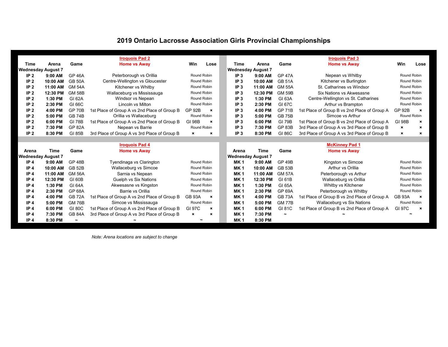# **2019 Ontario Lacrosse Association Girls Provincial Championships**

|                           | <b>Iroquois Pad 2</b> |               |                                              |                           |                           |                           | <b>Iroquois Pad 3</b> |                       |                                              |                           |                           |
|---------------------------|-----------------------|---------------|----------------------------------------------|---------------------------|---------------------------|---------------------------|-----------------------|-----------------------|----------------------------------------------|---------------------------|---------------------------|
| Time                      | Arena                 | Game          | <b>Home vs Away</b>                          | Win                       | Lose                      | <b>Time</b>               | Arena                 | Game                  | <b>Home vs Away</b>                          | Win                       | Lose                      |
| <b>Wednesday August 7</b> |                       |               |                                              |                           |                           | <b>Wednesday August 7</b> |                       |                       |                                              |                           |                           |
| IP <sub>2</sub>           | 9:00 AM               | <b>GP 46A</b> | Peterborough vs Orillia                      | Round Robin               |                           | IP <sub>3</sub>           | $9:00$ AM             | <b>GP 47A</b>         | Nepean vs Whitby                             |                           | Round Robin               |
| IP <sub>2</sub>           | 10:00 AM              | <b>GB 50A</b> | Centre-Wellington vs Gloucester              | Round Robin               |                           | IP <sub>3</sub>           | 10:00 AM              | <b>GB 51A</b>         | Kitchener vs Burlington                      | Round Robin               |                           |
| IP <sub>2</sub>           | 11:00 AM              | <b>GM 54A</b> | Kitchener vs Whitby                          | Round Robin               |                           | IP <sub>3</sub>           | 11:00 AM              | <b>GM 55A</b>         | St. Catharines vs Windsor                    |                           | Round Robin               |
| IP <sub>2</sub>           | 12:30 PM              | <b>GM 58B</b> | Wallaceburg vs Mississauga                   | Round Robin               |                           | IP <sub>3</sub>           | 12:30 PM              | <b>GM 59B</b>         | Six Nations vs Akwesasne                     |                           | Round Robin               |
| IP <sub>2</sub>           | 1:30 PM               | GI 62A        | Windsor vs Nepean                            | Round Robin               |                           | IP <sub>3</sub>           | 1:30 PM               | GI 63A                | Centre-Wellington vs St. Catharines          |                           | Round Robin               |
| IP <sub>2</sub>           | 2:30 PM               | GI 66C        | Lincoln vs Milton                            | Round Robin               |                           | IP <sub>3</sub>           | 2:30 PM               | GI 67C                | Arthur vs Brampton                           |                           | Round Robin               |
| IP <sub>2</sub>           | 4:00 PM               | <b>GP 70B</b> | 1st Place of Group A vs 2nd Place of Group B | <b>GP 92B</b>             | $\boldsymbol{\mathsf{x}}$ | IP <sub>3</sub>           | 4:00 PM               | <b>GP 71B</b>         | 1st Place of Group B vs 2nd Place of Group A | <b>GP 92B</b>             | $\boldsymbol{\mathsf{x}}$ |
| IP <sub>2</sub>           | 5:00 PM               | <b>GB 74B</b> | Orillia vs Wallaceburg                       | Round Robin               |                           | IP <sub>3</sub>           | 5:00 PM               | <b>GB 75B</b>         | Simcoe vs Arthur                             |                           | Round Robin               |
| IP <sub>2</sub>           | 6:00 PM               | <b>GI 78B</b> | 1st Place of Group A vs 2nd Place of Group B | <b>GI 98B</b>             | $\boldsymbol{\mathsf{x}}$ | IP <sub>3</sub>           | 6:00 PM               | <b>GI 79B</b>         | 1st Place of Group B vs 2nd Place of Group A | <b>GI 98B</b>             | $\boldsymbol{\mathsf{x}}$ |
| IP <sub>2</sub>           | 7:30 PM               | <b>GP 82A</b> | Nepean vs Barrie                             | Round Robin               |                           | IP <sub>3</sub>           | 7:30 PM               | <b>GP 83B</b>         | 3rd Place of Group A vs 3rd Place of Group B | $\boldsymbol{\mathsf{x}}$ | $\boldsymbol{\mathsf{x}}$ |
| IP <sub>2</sub>           | 8:30 PM               | GI 85B        | 3rd Place of Group A vs 3rd Place of Group B | $\boldsymbol{\mathsf{x}}$ | $\boldsymbol{\mathsf{x}}$ | IP <sub>3</sub>           | 8:30 PM               | GI 86C                | 3rd Place of Group A vs 3rd Place of Group B | $\mathbf{x}$              | $\boldsymbol{\mathsf{x}}$ |
|                           |                       |               |                                              |                           |                           |                           |                       |                       |                                              |                           |                           |
|                           |                       |               | <b>Iroquois Pad 4</b>                        |                           |                           |                           |                       |                       | <b>McKinney Pad 1</b>                        |                           |                           |
| Arena                     | <b>Time</b>           | Game          | <b>Home vs Away</b>                          |                           |                           | Arena                     | <b>Time</b>           | Game                  | <b>Home vs Away</b>                          |                           |                           |
| <b>Wednesday August 7</b> |                       |               |                                              |                           |                           | <b>Wednesday August 7</b> |                       |                       |                                              |                           |                           |
|                           |                       |               |                                              |                           |                           |                           |                       |                       |                                              |                           |                           |
| IP <sub>4</sub>           | 9:00 AM               | <b>GP 48B</b> | Tyendinaga vs Clarington                     | Round Robin               |                           | <b>MK1</b>                | 9:00 AM               | <b>GP 49B</b>         | Kingston vs Simcoe                           | Round Robin               |                           |
| IP <sub>4</sub>           | 10:00 AM              | <b>GB 52B</b> | Wallaceburg vs Simcoe                        | Round Robin               |                           | MK <sub>1</sub>           | 10:00 AM              | GB 53B                | Arthur vs Orillia                            |                           | Round Robin               |
| IP <sub>4</sub>           | 11:00 AM              | <b>GM 56A</b> | Sarnia vs Nepean                             | Round Robin               |                           | MK <sub>1</sub>           | 11:00 AM              | <b>GM 57A</b>         | Peterborough vs Arthur                       |                           | Round Robin               |
| IP <sub>4</sub>           | 12:30 PM              | GI 60B        | Guelph vs Six Nations                        | Round Robin               |                           | MK <sub>1</sub>           | 12:30 PM              | GI 61B                | Wallaceburg vs Orillia                       |                           | Round Robin               |
| IP <sub>4</sub>           | 1:30 PM               | <b>GI 64A</b> | Akwesasne vs Kingston                        | Round Robin               |                           | <b>MK1</b>                | 1:30 PM               | <b>GI 65A</b>         | Whitby vs Kitchener                          |                           | Round Robin               |
| IP <sub>4</sub>           | 2:30 PM               | <b>GP 68A</b> | Barrie vs Orillia                            | Round Robin               |                           | <b>MK1</b>                | 2:30 PM               | <b>GP 69A</b>         | Peterborough vs Whitby                       |                           | Round Robin               |
| IP <sub>4</sub>           | 4:00 PM               | <b>GB 72A</b> | 1st Place of Group A vs 2nd Place of Group B | <b>GB 93A</b>             | $\boldsymbol{\mathsf{x}}$ | MK <sub>1</sub>           | 4:00 PM               | <b>GB 73A</b>         | 1st Place of Group B vs 2nd Place of Group A | <b>GB 93A</b>             | $\boldsymbol{\mathsf{x}}$ |
| IP <sub>4</sub>           | 5:00 PM               | <b>GM 76B</b> | Simcoe vs Mississauga                        | Round Robin               |                           | <b>MK1</b>                | 5:00 PM               | <b>GM 77B</b>         | Wallaceburg vs Six Nations                   | Round Robin               |                           |
| IP <sub>4</sub>           | 6:00 PM               | <b>GI 80C</b> | 1st Place of Group A vs 2nd Place of Group B | GI 97C                    | $\boldsymbol{\mathsf{x}}$ | MK <sub>1</sub>           | 6:00 PM               | GI 81C                | 1st Place of Group B vs 2nd Place of Group A | GI 97C                    | $\boldsymbol{\mathsf{x}}$ |
| IP <sub>4</sub>           | 7:30 PM               | <b>GB 84A</b> | 3rd Place of Group A vs 3rd Place of Group B | $\mathbf{x}$              | $\boldsymbol{\mathsf{x}}$ | MK <sub>1</sub>           | 7:30 PM               | $\tilde{\phantom{a}}$ |                                              |                           |                           |

*Note: Arena locations are subject to change*